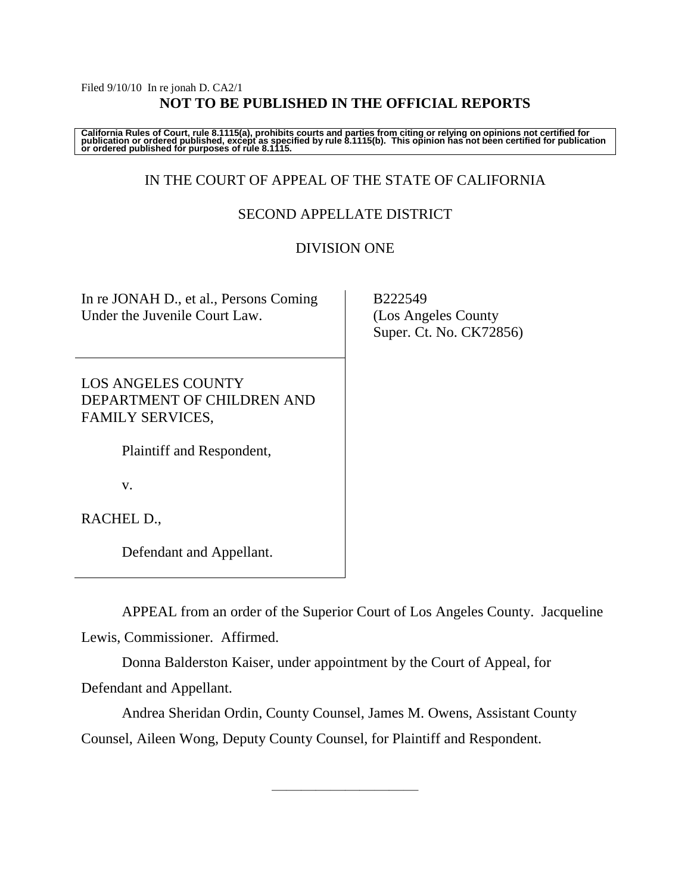#### Filed 9/10/10 In re jonah D. CA2/1 **NOT TO BE PUBLISHED IN THE OFFICIAL REPORTS**

California Rules of Court, rule 8.1115(a), prohibits courts and parties from citing or relying on opinions not certified for<br>publication or ordered published, except as specified by rule 8.1115(b). This opinion has not be

# IN THE COURT OF APPEAL OF THE STATE OF CALIFORNIA

## SECOND APPELLATE DISTRICT

### DIVISION ONE

| In re JONAH D., et al., Persons Coming<br>Under the Juvenile Court Law. |  |
|-------------------------------------------------------------------------|--|
| <b>LOS ANGELES COUNTY</b><br>$\Gamma$                                   |  |

DEPARTMENT OF CHILDREN AND FAMILY SERVICES,

Plaintiff and Respondent,

v.

RACHEL D.,

Defendant and Appellant.

APPEAL from an order of the Superior Court of Los Angeles County. Jacqueline Lewis, Commissioner. Affirmed.

Donna Balderston Kaiser, under appointment by the Court of Appeal, for Defendant and Appellant.

Andrea Sheridan Ordin, County Counsel, James M. Owens, Assistant County Counsel, Aileen Wong, Deputy County Counsel, for Plaintiff and Respondent.

————————————————————

 B222549 (Los Angeles County Super. Ct. No. CK72856)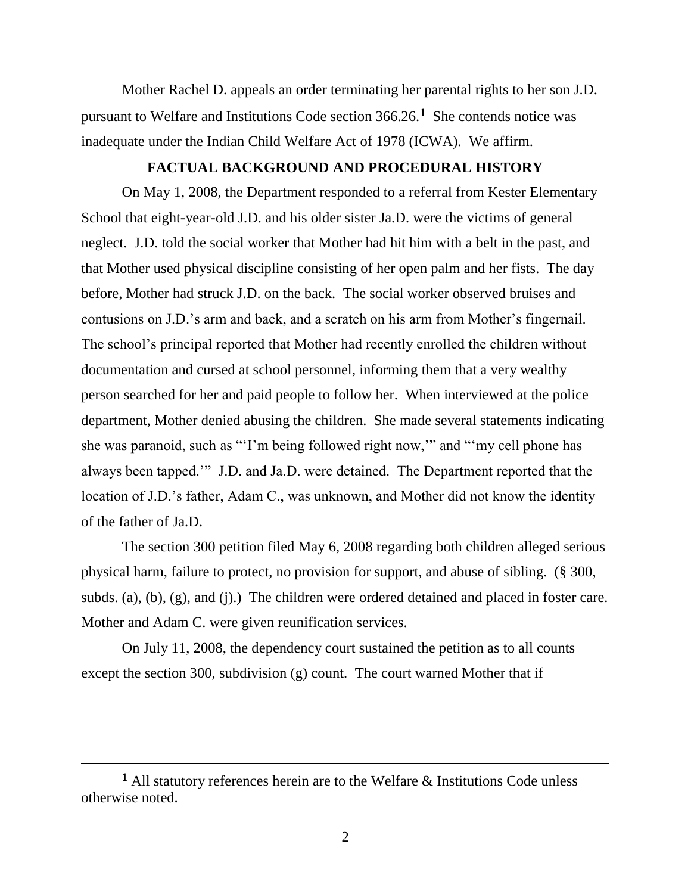Mother Rachel D. appeals an order terminating her parental rights to her son J.D. pursuant to Welfare and Institutions Code section 366.26.**<sup>1</sup>** She contends notice was inadequate under the Indian Child Welfare Act of 1978 (ICWA). We affirm.

# **FACTUAL BACKGROUND AND PROCEDURAL HISTORY**

On May 1, 2008, the Department responded to a referral from Kester Elementary School that eight-year-old J.D. and his older sister Ja.D. were the victims of general neglect. J.D. told the social worker that Mother had hit him with a belt in the past, and that Mother used physical discipline consisting of her open palm and her fists. The day before, Mother had struck J.D. on the back. The social worker observed bruises and contusions on J.D.'s arm and back, and a scratch on his arm from Mother's fingernail. The school's principal reported that Mother had recently enrolled the children without documentation and cursed at school personnel, informing them that a very wealthy person searched for her and paid people to follow her. When interviewed at the police department, Mother denied abusing the children. She made several statements indicating she was paranoid, such as "'I'm being followed right now," and "'my cell phone has always been tapped.'" J.D. and Ja.D. were detained. The Department reported that the location of J.D.'s father, Adam C., was unknown, and Mother did not know the identity of the father of Ja.D.

The section 300 petition filed May 6, 2008 regarding both children alleged serious physical harm, failure to protect, no provision for support, and abuse of sibling. (§ 300, subds. (a), (b), (g), and (j).) The children were ordered detained and placed in foster care. Mother and Adam C. were given reunification services.

On July 11, 2008, the dependency court sustained the petition as to all counts except the section 300, subdivision (g) count. The court warned Mother that if

 $\overline{a}$ 

**<sup>1</sup>** All statutory references herein are to the Welfare & Institutions Code unless otherwise noted.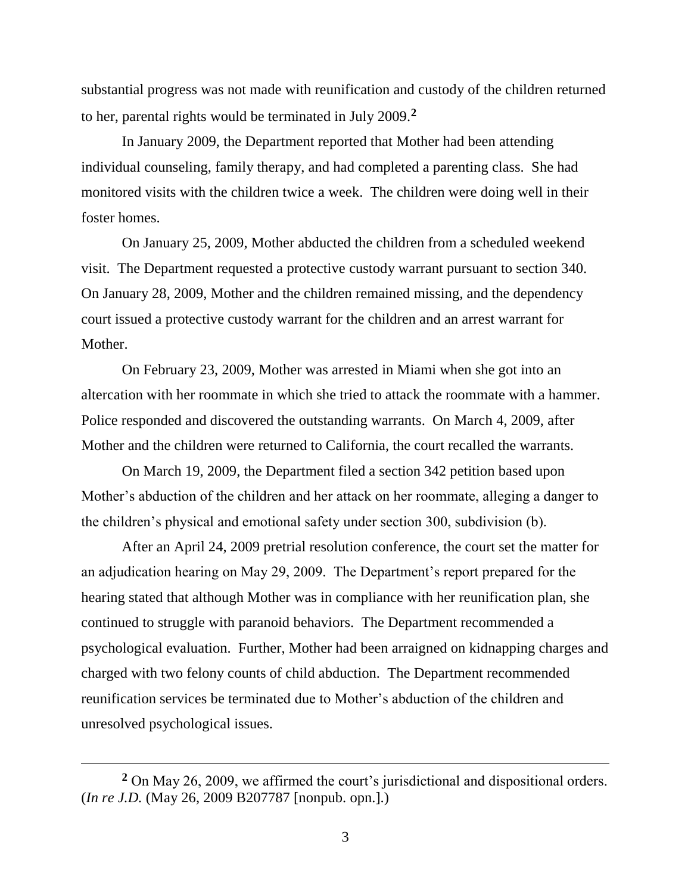substantial progress was not made with reunification and custody of the children returned to her, parental rights would be terminated in July 2009.**<sup>2</sup>**

In January 2009, the Department reported that Mother had been attending individual counseling, family therapy, and had completed a parenting class. She had monitored visits with the children twice a week. The children were doing well in their foster homes.

On January 25, 2009, Mother abducted the children from a scheduled weekend visit. The Department requested a protective custody warrant pursuant to section 340. On January 28, 2009, Mother and the children remained missing, and the dependency court issued a protective custody warrant for the children and an arrest warrant for Mother.

On February 23, 2009, Mother was arrested in Miami when she got into an altercation with her roommate in which she tried to attack the roommate with a hammer. Police responded and discovered the outstanding warrants. On March 4, 2009, after Mother and the children were returned to California, the court recalled the warrants.

On March 19, 2009, the Department filed a section 342 petition based upon Mother's abduction of the children and her attack on her roommate, alleging a danger to the children's physical and emotional safety under section 300, subdivision (b).

After an April 24, 2009 pretrial resolution conference, the court set the matter for an adjudication hearing on May 29, 2009. The Department's report prepared for the hearing stated that although Mother was in compliance with her reunification plan, she continued to struggle with paranoid behaviors. The Department recommended a psychological evaluation. Further, Mother had been arraigned on kidnapping charges and charged with two felony counts of child abduction. The Department recommended reunification services be terminated due to Mother's abduction of the children and unresolved psychological issues.

 $\overline{a}$ 

**<sup>2</sup>** On May 26, 2009, we affirmed the court's jurisdictional and dispositional orders. (*In re J.D.* (May 26, 2009 B207787 [nonpub. opn.].)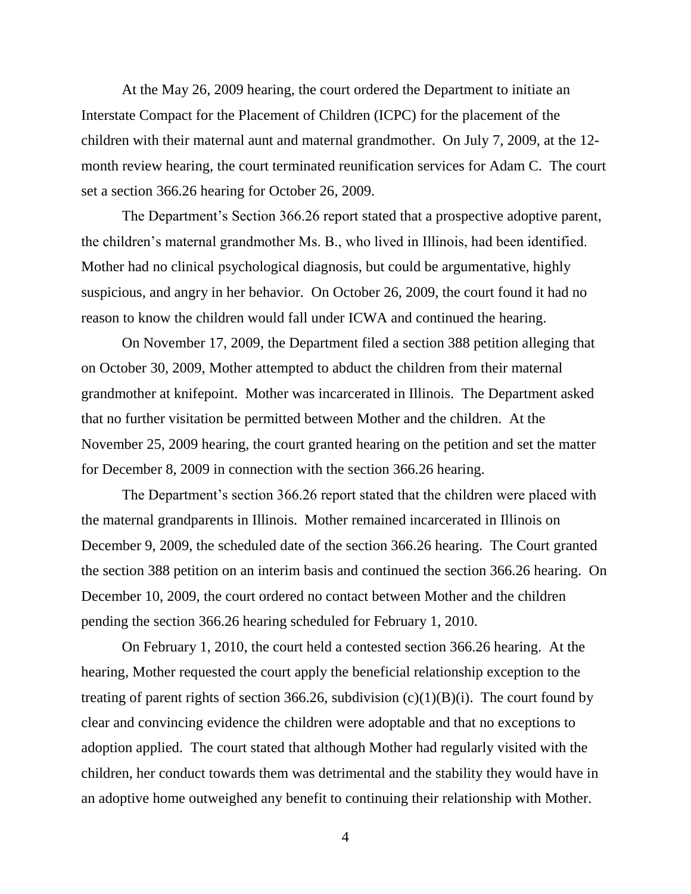At the May 26, 2009 hearing, the court ordered the Department to initiate an Interstate Compact for the Placement of Children (ICPC) for the placement of the children with their maternal aunt and maternal grandmother. On July 7, 2009, at the 12 month review hearing, the court terminated reunification services for Adam C. The court set a section 366.26 hearing for October 26, 2009.

The Department's Section 366.26 report stated that a prospective adoptive parent, the children's maternal grandmother Ms. B., who lived in Illinois, had been identified. Mother had no clinical psychological diagnosis, but could be argumentative, highly suspicious, and angry in her behavior. On October 26, 2009, the court found it had no reason to know the children would fall under ICWA and continued the hearing.

On November 17, 2009, the Department filed a section 388 petition alleging that on October 30, 2009, Mother attempted to abduct the children from their maternal grandmother at knifepoint. Mother was incarcerated in Illinois. The Department asked that no further visitation be permitted between Mother and the children. At the November 25, 2009 hearing, the court granted hearing on the petition and set the matter for December 8, 2009 in connection with the section 366.26 hearing.

The Department's section 366.26 report stated that the children were placed with the maternal grandparents in Illinois. Mother remained incarcerated in Illinois on December 9, 2009, the scheduled date of the section 366.26 hearing. The Court granted the section 388 petition on an interim basis and continued the section 366.26 hearing. On December 10, 2009, the court ordered no contact between Mother and the children pending the section 366.26 hearing scheduled for February 1, 2010.

On February 1, 2010, the court held a contested section 366.26 hearing. At the hearing, Mother requested the court apply the beneficial relationship exception to the treating of parent rights of section 366.26, subdivision  $(c)(1)(B)(i)$ . The court found by clear and convincing evidence the children were adoptable and that no exceptions to adoption applied. The court stated that although Mother had regularly visited with the children, her conduct towards them was detrimental and the stability they would have in an adoptive home outweighed any benefit to continuing their relationship with Mother.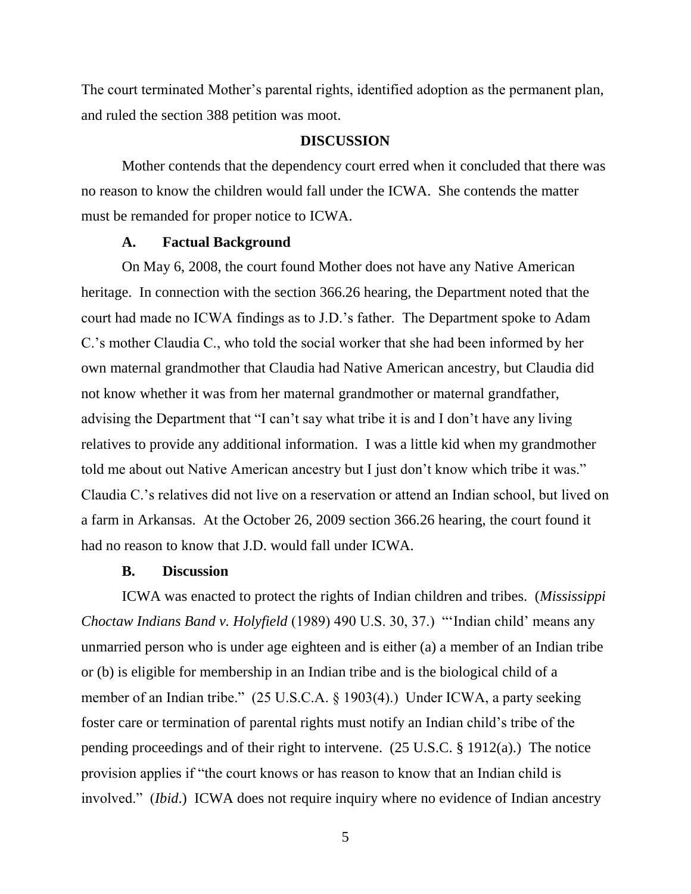The court terminated Mother's parental rights, identified adoption as the permanent plan, and ruled the section 388 petition was moot.

#### **DISCUSSION**

Mother contends that the dependency court erred when it concluded that there was no reason to know the children would fall under the ICWA. She contends the matter must be remanded for proper notice to ICWA.

#### **A. Factual Background**

On May 6, 2008, the court found Mother does not have any Native American heritage. In connection with the section 366.26 hearing, the Department noted that the court had made no ICWA findings as to J.D.'s father. The Department spoke to Adam C.'s mother Claudia C., who told the social worker that she had been informed by her own maternal grandmother that Claudia had Native American ancestry, but Claudia did not know whether it was from her maternal grandmother or maternal grandfather, advising the Department that "I can't say what tribe it is and I don't have any living relatives to provide any additional information. I was a little kid when my grandmother told me about out Native American ancestry but I just don't know which tribe it was." Claudia C.'s relatives did not live on a reservation or attend an Indian school, but lived on a farm in Arkansas. At the October 26, 2009 section 366.26 hearing, the court found it had no reason to know that J.D. would fall under ICWA.

### **B. Discussion**

ICWA was enacted to protect the rights of Indian children and tribes. (*Mississippi Choctaw Indians Band v. Holyfield* (1989) 490 U.S. 30, 37.) 
"Indian child' means any unmarried person who is under age eighteen and is either (a) a member of an Indian tribe or (b) is eligible for membership in an Indian tribe and is the biological child of a member of an Indian tribe."  $(25 \text{ U.S.C.A. } § 1903(4))$  Under ICWA, a party seeking foster care or termination of parental rights must notify an Indian child's tribe of the pending proceedings and of their right to intervene. (25 U.S.C. § 1912(a).) The notice provision applies if "the court knows or has reason to know that an Indian child is involved." *(Ibid.)* ICWA does not require inquiry where no evidence of Indian ancestry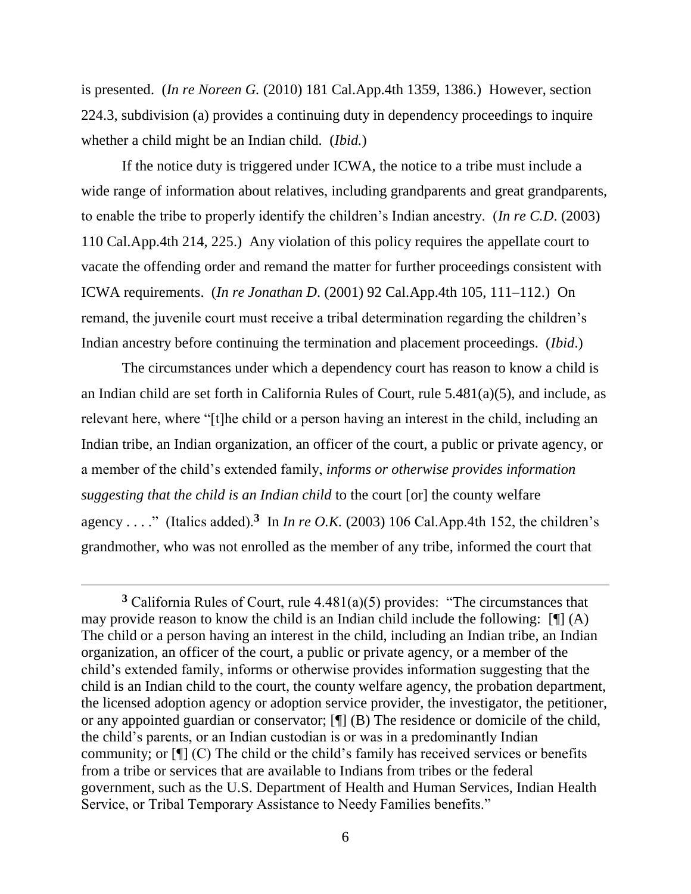is presented. (*In re Noreen G.* (2010) 181 Cal.App.4th 1359, 1386.) However, section 224.3, subdivision (a) provides a continuing duty in dependency proceedings to inquire whether a child might be an Indian child. (*Ibid.*)

If the notice duty is triggered under ICWA, the notice to a tribe must include a wide range of information about relatives, including grandparents and great grandparents, to enable the tribe to properly identify the children's Indian ancestry. (*In re C.D*. (2003) 110 Cal.App.4th 214, 225.) Any violation of this policy requires the appellate court to vacate the offending order and remand the matter for further proceedings consistent with ICWA requirements. (*In re Jonathan D*. (2001) 92 Cal.App.4th 105, 111–112.) On remand, the juvenile court must receive a tribal determination regarding the children's Indian ancestry before continuing the termination and placement proceedings. (*Ibid*.)

The circumstances under which a dependency court has reason to know a child is an Indian child are set forth in California Rules of Court, rule 5.481(a)(5), and include, as relevant here, where "[t]he child or a person having an interest in the child, including an Indian tribe, an Indian organization, an officer of the court, a public or private agency, or a member of the child's extended family, *informs or otherwise provides information suggesting that the child is an Indian child* to the court [or] the county welfare agency . . . ." (Italics added).<sup>3</sup> In *In re O.K.* (2003) 106 Cal.App.4th 152, the children's grandmother, who was not enrolled as the member of any tribe, informed the court that

 $3$  California Rules of Court, rule  $4.481(a)(5)$  provides: "The circumstances that may provide reason to know the child is an Indian child include the following:  $[\n\P$  (A) The child or a person having an interest in the child, including an Indian tribe, an Indian organization, an officer of the court, a public or private agency, or a member of the child's extended family, informs or otherwise provides information suggesting that the child is an Indian child to the court, the county welfare agency, the probation department, the licensed adoption agency or adoption service provider, the investigator, the petitioner, or any appointed guardian or conservator; [¶] (B) The residence or domicile of the child, the child's parents, or an Indian custodian is or was in a predominantly Indian community; or [¶] (C) The child or the child's family has received services or benefits from a tribe or services that are available to Indians from tribes or the federal government, such as the U.S. Department of Health and Human Services, Indian Health Service, or Tribal Temporary Assistance to Needy Families benefits."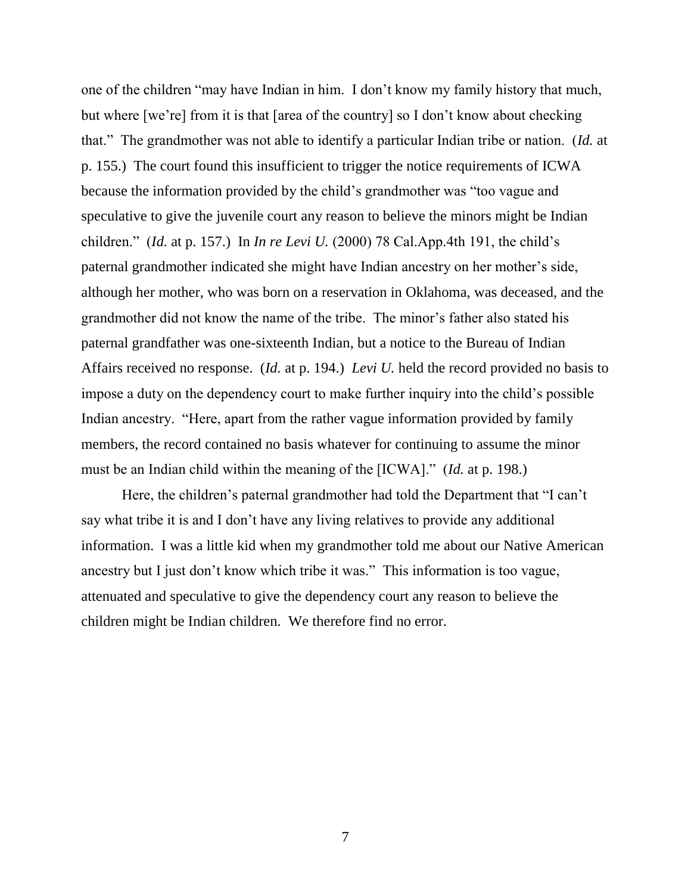one of the children "may have Indian in him. I don't know my family history that much, but where [we're] from it is that [area of the country] so I don't know about checking that.‖ The grandmother was not able to identify a particular Indian tribe or nation. (*Id.* at p. 155.) The court found this insufficient to trigger the notice requirements of ICWA because the information provided by the child's grandmother was "too vague and speculative to give the juvenile court any reason to believe the minors might be Indian children.‖ (*Id.* at p. 157.) In *In re Levi U.* (2000) 78 Cal.App.4th 191, the child's paternal grandmother indicated she might have Indian ancestry on her mother's side, although her mother, who was born on a reservation in Oklahoma, was deceased, and the grandmother did not know the name of the tribe. The minor's father also stated his paternal grandfather was one-sixteenth Indian, but a notice to the Bureau of Indian Affairs received no response. (*Id.* at p. 194.) *Levi U.* held the record provided no basis to impose a duty on the dependency court to make further inquiry into the child's possible Indian ancestry. "Here, apart from the rather vague information provided by family members, the record contained no basis whatever for continuing to assume the minor must be an Indian child within the meaning of the [ICWA]." *(Id. at p. 198.)* 

Here, the children's paternal grandmother had told the Department that "I can't say what tribe it is and I don't have any living relatives to provide any additional information. I was a little kid when my grandmother told me about our Native American ancestry but I just don't know which tribe it was." This information is too vague, attenuated and speculative to give the dependency court any reason to believe the children might be Indian children. We therefore find no error.